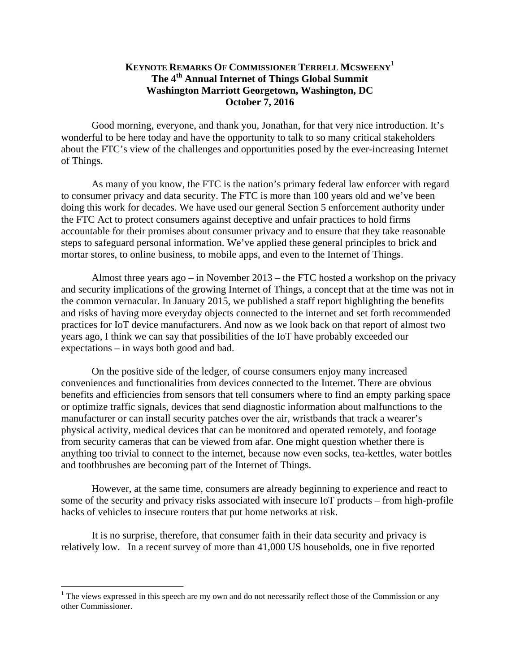## **KEYNOTE REMARKS OF COMMISSIONER TERRELL MCSWEENY**<sup>1</sup> **The 4th Annual Internet of Things Global Summit Washington Marriott Georgetown, Washington, DC October 7, 2016**

Good morning, everyone, and thank you, Jonathan, for that very nice introduction. It's wonderful to be here today and have the opportunity to talk to so many critical stakeholders about the FTC's view of the challenges and opportunities posed by the ever-increasing Internet of Things.

As many of you know, the FTC is the nation's primary federal law enforcer with regard to consumer privacy and data security. The FTC is more than 100 years old and we've been doing this work for decades. We have used our general Section 5 enforcement authority under the FTC Act to protect consumers against deceptive and unfair practices to hold firms accountable for their promises about consumer privacy and to ensure that they take reasonable steps to safeguard personal information. We've applied these general principles to brick and mortar stores, to online business, to mobile apps, and even to the Internet of Things.

Almost three years ago – in November 2013 – the FTC hosted a workshop on the privacy and security implications of the growing Internet of Things, a concept that at the time was not in the common vernacular. In January 2015, we published a staff report highlighting the benefits and risks of having more everyday objects connected to the internet and set forth recommended practices for IoT device manufacturers. And now as we look back on that report of almost two years ago, I think we can say that possibilities of the IoT have probably exceeded our expectations – in ways both good and bad.

On the positive side of the ledger, of course consumers enjoy many increased conveniences and functionalities from devices connected to the Internet. There are obvious benefits and efficiencies from sensors that tell consumers where to find an empty parking space or optimize traffic signals, devices that send diagnostic information about malfunctions to the manufacturer or can install security patches over the air, wristbands that track a wearer's physical activity, medical devices that can be monitored and operated remotely, and footage from security cameras that can be viewed from afar. One might question whether there is anything too trivial to connect to the internet, because now even socks, tea-kettles, water bottles and toothbrushes are becoming part of the Internet of Things.

However, at the same time, consumers are already beginning to experience and react to some of the security and privacy risks associated with insecure IoT products – from high-profile hacks of vehicles to insecure routers that put home networks at risk.

It is no surprise, therefore, that consumer faith in their data security and privacy is relatively low. In a recent survey of more than 41,000 US households, one in five reported

 $\overline{a}$ 

<sup>&</sup>lt;sup>1</sup> The views expressed in this speech are my own and do not necessarily reflect those of the Commission or any other Commissioner.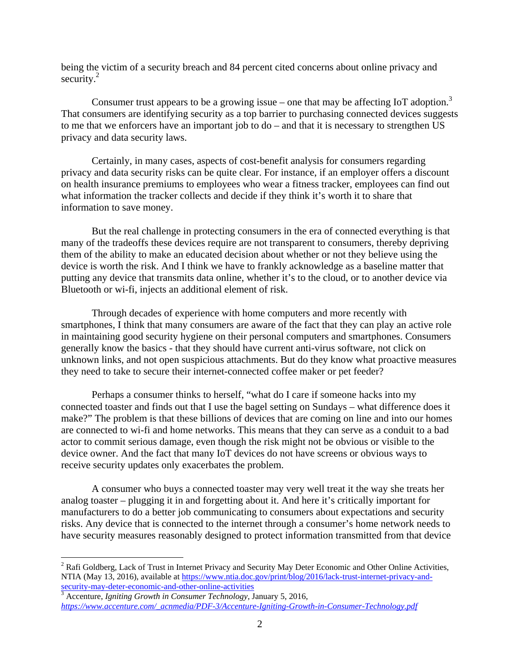being the victim of a security breach and 84 percent cited concerns about online privacy and security. $^{2}$ 

Consumer trust appears to be a growing issue – one that may be affecting IoT adoption.<sup>3</sup> That consumers are identifying security as a top barrier to purchasing connected devices suggests to me that we enforcers have an important job to do – and that it is necessary to strengthen US privacy and data security laws.

Certainly, in many cases, aspects of cost-benefit analysis for consumers regarding privacy and data security risks can be quite clear. For instance, if an employer offers a discount on health insurance premiums to employees who wear a fitness tracker, employees can find out what information the tracker collects and decide if they think it's worth it to share that information to save money.

But the real challenge in protecting consumers in the era of connected everything is that many of the tradeoffs these devices require are not transparent to consumers, thereby depriving them of the ability to make an educated decision about whether or not they believe using the device is worth the risk. And I think we have to frankly acknowledge as a baseline matter that putting any device that transmits data online, whether it's to the cloud, or to another device via Bluetooth or wi-fi, injects an additional element of risk.

they need to take to secure their internet-connected coffee maker or pet feeder? Through decades of experience with home computers and more recently with smartphones, I think that many consumers are aware of the fact that they can play an active role in maintaining good security hygiene on their personal computers and smartphones. Consumers generally know the basics - that they should have current anti-virus software, not click on unknown links, and not open suspicious attachments. But do they know what proactive measures

Perhaps a consumer thinks to herself, "what do I care if someone hacks into my connected toaster and finds out that I use the bagel setting on Sundays – what difference does it make?" The problem is that these billions of devices that are coming on line and into our homes are connected to wi-fi and home networks. This means that they can serve as a conduit to a bad actor to commit serious damage, even though the risk might not be obvious or visible to the device owner. And the fact that many IoT devices do not have screens or obvious ways to receive security updates only exacerbates the problem.

A consumer who buys a connected toaster may very well treat it the way she treats her analog toaster – plugging it in and forgetting about it. And here it's critically important for manufacturers to do a better job communicating to consumers about expectations and security risks. Any device that is connected to the internet through a consumer's home network needs to have security measures reasonably designed to protect information transmitted from that device

*https://www.accenture.com/\_acnmedia/PDF-3/Accenture-Igniting-Growth-in-Consumer-Technology.pdf* 

 $\overline{a}$ 

<sup>&</sup>lt;sup>2</sup> Rafi Goldberg, Lack of Trust in Internet Privacy and Security May Deter Economic and Other Online Activities, NTIA (May 13, 2016), available at https://www.ntia.doc.gov/print/blog/2016/lack-trust-internet-privacy-andsecurity-may-deter-economic-and-other-online-activities 3 Accenture, *Igniting Growth in Consumer Technology,* January 5, 2016,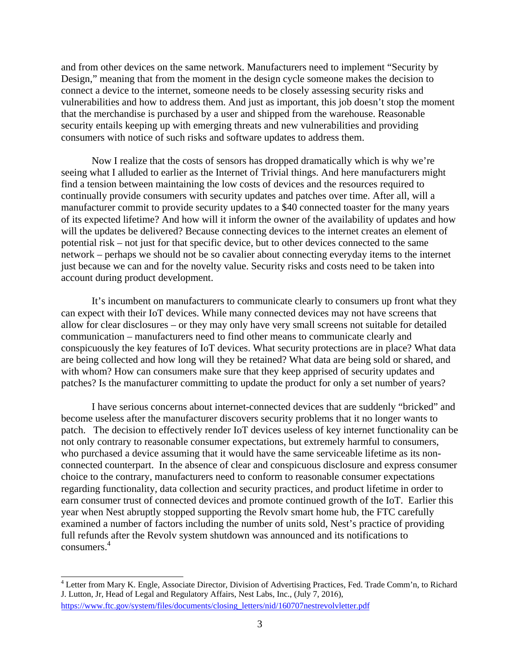and from other devices on the same network. Manufacturers need to implement "Security by Design," meaning that from the moment in the design cycle someone makes the decision to connect a device to the internet, someone needs to be closely assessing security risks and vulnerabilities and how to address them. And just as important, this job doesn't stop the moment that the merchandise is purchased by a user and shipped from the warehouse. Reasonable security entails keeping up with emerging threats and new vulnerabilities and providing consumers with notice of such risks and software updates to address them.

Now I realize that the costs of sensors has dropped dramatically which is why we're seeing what I alluded to earlier as the Internet of Trivial things. And here manufacturers might find a tension between maintaining the low costs of devices and the resources required to continually provide consumers with security updates and patches over time. After all, will a manufacturer commit to provide security updates to a \$40 connected toaster for the many years of its expected lifetime? And how will it inform the owner of the availability of updates and how will the updates be delivered? Because connecting devices to the internet creates an element of potential risk – not just for that specific device, but to other devices connected to the same network – perhaps we should not be so cavalier about connecting everyday items to the internet just because we can and for the novelty value. Security risks and costs need to be taken into account during product development.

patches? Is the manufacturer committing to update the product for only a set number of years?<br>I have serious concerns about internet-connected devices that are suddenly "bricked" and It's incumbent on manufacturers to communicate clearly to consumers up front what they can expect with their IoT devices. While many connected devices may not have screens that allow for clear disclosures – or they may only have very small screens not suitable for detailed communication – manufacturers need to find other means to communicate clearly and conspicuously the key features of IoT devices. What security protections are in place? What data are being collected and how long will they be retained? What data are being sold or shared, and with whom? How can consumers make sure that they keep apprised of security updates and

become useless after the manufacturer discovers security problems that it no longer wants to patch. The decision to effectively render IoT devices useless of key internet functionality can be not only contrary to reasonable consumer expectations, but extremely harmful to consumers, who purchased a device assuming that it would have the same serviceable lifetime as its nonconnected counterpart. In the absence of clear and conspicuous disclosure and express consumer choice to the contrary, manufacturers need to conform to reasonable consumer expectations regarding functionality, data collection and security practices, and product lifetime in order to earn consumer trust of connected devices and promote continued growth of the IoT. Earlier this year when Nest abruptly stopped supporting the Revolv smart home hub, the FTC carefully examined a number of factors including the number of units sold, Nest's practice of providing full refunds after the Revolv system shutdown was announced and its notifications to <sup>4</sup> consumers.

 4 Letter from Mary K. Engle, Associate Director, Division of Advertising Practices, Fed. Trade Comm'n, to Richard J. Lutton, Jr, Head of Legal and Regulatory Affairs, Nest Labs, Inc., (July 7, 2016), https://www.ftc.gov/system/files/documents/closing\_letters/nid/160707nestrevolvletter.pdf